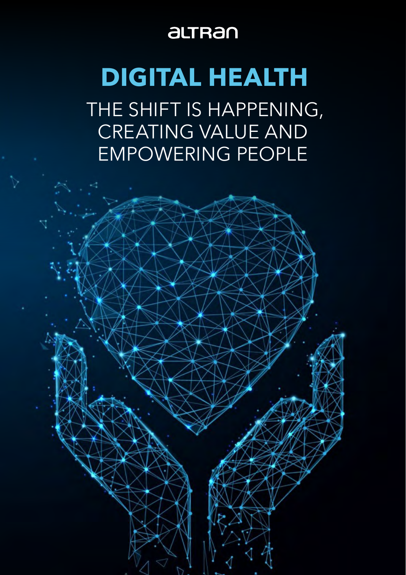# aurran

# **DIGITAL HEALTH**

 THE SHIFT IS HAPPENING, CREATING VALUE AND EMPOWERING PEOPLE

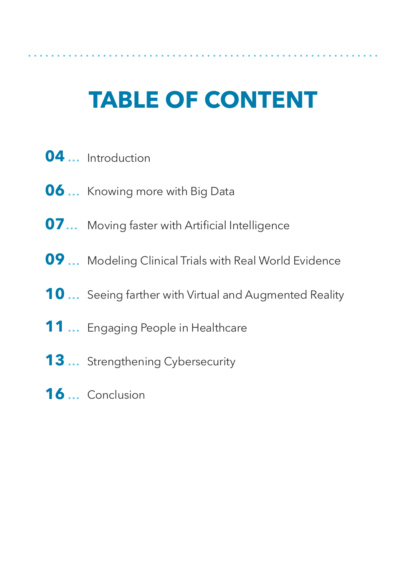# **TABLE OF CONTENT**

. . . . . . . . . . . . . . . . .

- ... Introduction
- ... Knowing more with Big Data
- **07...** Moving faster with Artificial Intelligence
- ... Modeling Clinical Trials with Real World Evidence
- ... Seeing farther with Virtual and Augmented Reality
- ... Engaging People in Healthcare
- ... Strengthening Cybersecurity
- ... Conclusion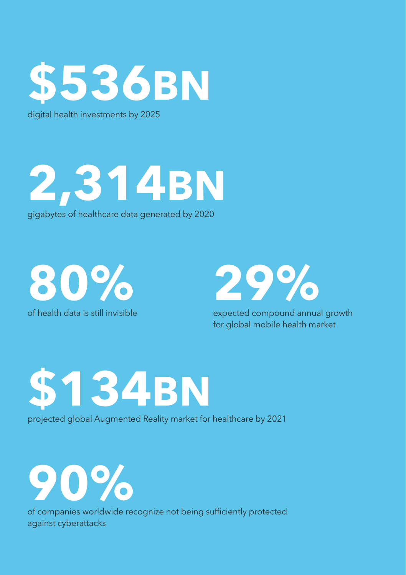

digital health investments by 2025

# **2,314BN**

gigabytes of healthcare data generated by 2020

80% 29% <sup>29%</sup>



expected compound annual growth for global mobile health market



projected global Augmented Reality market for healthcare by 2021

**90%** 

of companies worldwide recognize not being sufficiently protected against cyberattacks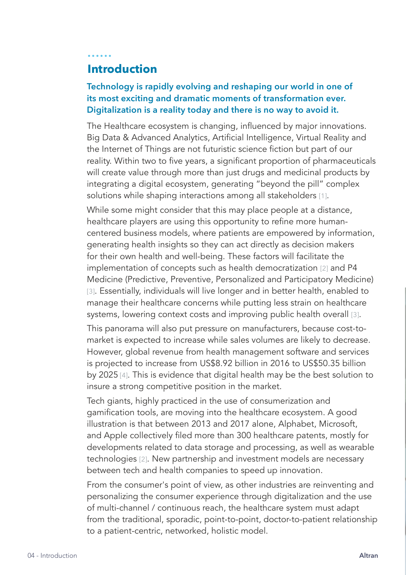### **Introduction**

#### **Technology is rapidly evolving and reshaping our world in one of its most exciting and dramatic moments of transformation ever. Digitalization is a reality today and there is no way to avoid it.**

The Healthcare ecosystem is changing, influenced by major innovations. Big Data & Advanced Analytics, Artificial Intelligence, Virtual Reality and the Internet of Things are not futuristic science fiction but part of our reality. Within two to five years, a significant proportion of pharmaceuticals will create value through more than just drugs and medicinal products by integrating a digital ecosystem, generating "beyond the pill" complex solutions while shaping interactions among all stakeholders [1].

While some might consider that this may place people at a distance, healthcare players are using this opportunity to refine more humancentered business models, where patients are empowered by information, generating health insights so they can act directly as decision makers for their own health and well-being. These factors will facilitate the implementation of concepts such as health democratization [2] and P4 Medicine (Predictive, Preventive, Personalized and Participatory Medicine) [3]. Essentially, individuals will live longer and in better health, enabled to manage their healthcare concerns while putting less strain on healthcare systems, lowering context costs and improving public health overall [3].

This panorama will also put pressure on manufacturers, because cost-tomarket is expected to increase while sales volumes are likely to decrease. However, global revenue from health management software and services is projected to increase from US\$8.92 billion in 2016 to US\$50.35 billion by 2025 [4]. This is evidence that digital health may be the best solution to insure a strong competitive position in the market.

Tech giants, highly practiced in the use of consumerization and gamification tools, are moving into the healthcare ecosystem. A good illustration is that between 2013 and 2017 alone, Alphabet, Microsoft, and Apple collectively filed more than 300 healthcare patents, mostly for developments related to data storage and processing, as well as wearable technologies [2]. New partnership and investment models are necessary between tech and health companies to speed up innovation.

From the consumer's point of view, as other industries are reinventing and personalizing the consumer experience through digitalization and the use of multi-channel / continuous reach, the healthcare system must adapt from the traditional, sporadic, point-to-point, doctor-to-patient relationship to a patient-centric, networked, holistic model.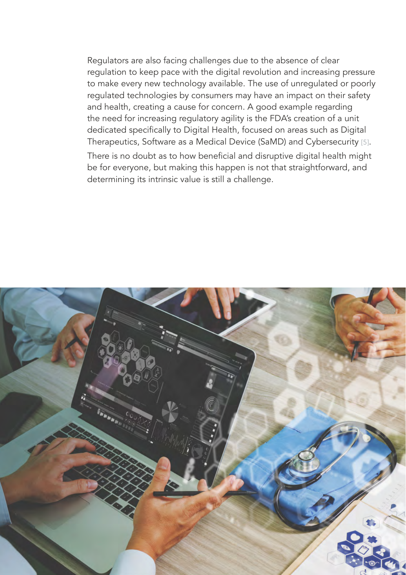Regulators are also facing challenges due to the absence of clear regulation to keep pace with the digital revolution and increasing pressure to make every new technology available. The use of unregulated or poorly regulated technologies by consumers may have an impact on their safety and health, creating a cause for concern. A good example regarding the need for increasing regulatory agility is the FDA's creation of a unit dedicated specifically to Digital Health, focused on areas such as Digital Therapeutics, Software as a Medical Device (SaMD) and Cybersecurity [5]. There is no doubt as to how beneficial and disruptive digital health might be for everyone, but making this happen is not that straightforward, and determining its intrinsic value is still a challenge.

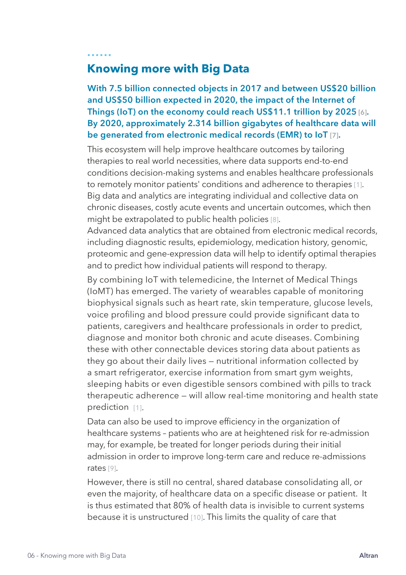### **Knowing more with Big Data**

**With 7.5 billion connected objects in 2017 and between US\$20 billion and US\$50 billion expected in 2020, the impact of the Internet of Things (IoT) on the economy could reach US\$11.1 trillion by 2025 [6]. By 2020, approximately 2.314 billion gigabytes of healthcare data will be generated from electronic medical records (EMR) to IoT [7].**

This ecosystem will help improve healthcare outcomes by tailoring therapies to real world necessities, where data supports end-to-end conditions decision-making systems and enables healthcare professionals to remotely monitor patients' conditions and adherence to therapies [1]. Big data and analytics are integrating individual and collective data on chronic diseases, costly acute events and uncertain outcomes, which then might be extrapolated to public health policies [8].

Advanced data analytics that are obtained from electronic medical records, including diagnostic results, epidemiology, medication history, genomic, proteomic and gene-expression data will help to identify optimal therapies and to predict how individual patients will respond to therapy.

By combining IoT with telemedicine, the Internet of Medical Things (IoMT) has emerged. The variety of wearables capable of monitoring biophysical signals such as heart rate, skin temperature, glucose levels, voice profiling and blood pressure could provide significant data to patients, caregivers and healthcare professionals in order to predict, diagnose and monitor both chronic and acute diseases. Combining these with other connectable devices storing data about patients as they go about their daily lives — nutritional information collected by a smart refrigerator, exercise information from smart gym weights, sleeping habits or even digestible sensors combined with pills to track therapeutic adherence — will allow real-time monitoring and health state prediction [1].

Data can also be used to improve efficiency in the organization of healthcare systems – patients who are at heightened risk for re-admission may, for example, be treated for longer periods during their initial admission in order to improve long-term care and reduce re-admissions rates [9].

However, there is still no central, shared database consolidating all, or even the majority, of healthcare data on a specific disease or patient. It is thus estimated that 80% of health data is invisible to current systems because it is unstructured [10]. This limits the quality of care that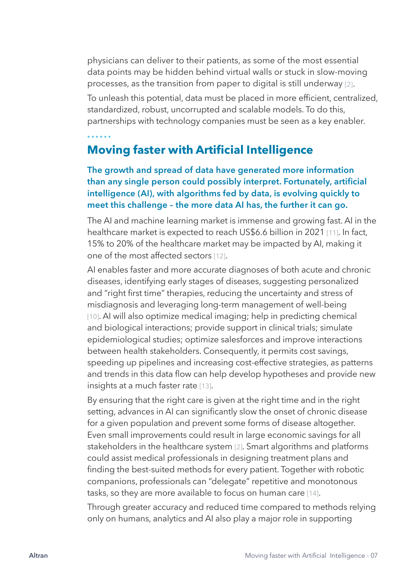physicians can deliver to their patients, as some of the most essential data points may be hidden behind virtual walls or stuck in slow-moving processes, as the transition from paper to digital is still underway [2]. To unleash this potential, data must be placed in more efficient, centralized, standardized, robust, uncorrupted and scalable models. To do this, partnerships with technology companies must be seen as a key enabler.

**Moving faster with Artificial Intelligence**

......

#### **The growth and spread of data have generated more information than any single person could possibly interpret. Fortunately, artificial intelligence (AI), with algorithms fed by data, is evolving quickly to meet this challenge – the more data AI has, the further it can go.**

The AI and machine learning market is immense and growing fast. AI in the healthcare market is expected to reach US\$6.6 billion in 2021 [11]. In fact, 15% to 20% of the healthcare market may be impacted by AI, making it one of the most affected sectors [12].

AI enables faster and more accurate diagnoses of both acute and chronic diseases, identifying early stages of diseases, suggesting personalized and "right first time" therapies, reducing the uncertainty and stress of misdiagnosis and leveraging long-term management of well-being [10]. AI will also optimize medical imaging; help in predicting chemical and biological interactions; provide support in clinical trials; simulate epidemiological studies; optimize salesforces and improve interactions between health stakeholders. Consequently, it permits cost savings, speeding up pipelines and increasing cost-effective strategies, as patterns and trends in this data flow can help develop hypotheses and provide new insights at a much faster rate [13].

By ensuring that the right care is given at the right time and in the right setting, advances in AI can significantly slow the onset of chronic disease for a given population and prevent some forms of disease altogether. Even small improvements could result in large economic savings for all stakeholders in the healthcare system [2]. Smart algorithms and platforms could assist medical professionals in designing treatment plans and finding the best-suited methods for every patient. Together with robotic companions, professionals can "delegate" repetitive and monotonous tasks, so they are more available to focus on human care [14].

Through greater accuracy and reduced time compared to methods relying only on humans, analytics and AI also play a major role in supporting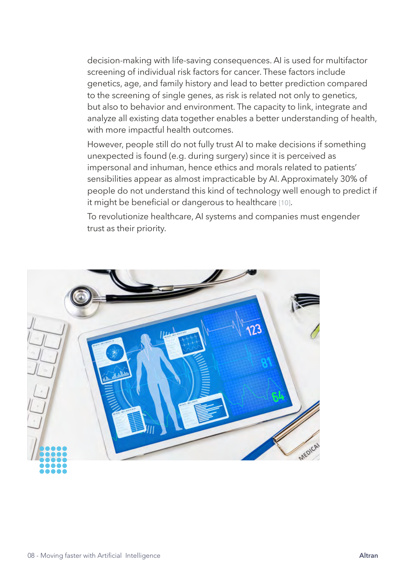decision-making with life-saving consequences. AI is used for multifactor screening of individual risk factors for cancer. These factors include genetics, age, and family history and lead to better prediction compared to the screening of single genes, as risk is related not only to genetics, but also to behavior and environment. The capacity to link, integrate and analyze all existing data together enables a better understanding of health, with more impactful health outcomes.

However, people still do not fully trust AI to make decisions if something unexpected is found (e.g. during surgery) since it is perceived as impersonal and inhuman, hence ethics and morals related to patients' sensibilities appear as almost impracticable by AI. Approximately 30% of people do not understand this kind of technology well enough to predict if it might be beneficial or dangerous to healthcare [10].

To revolutionize healthcare, AI systems and companies must engender trust as their priority.

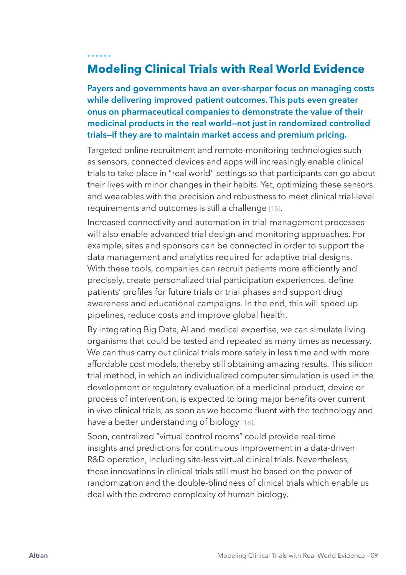## **Modeling Clinical Trials with Real World Evidence**

**Payers and governments have an ever-sharper focus on managing costs while delivering improved patient outcomes. This puts even greater onus on pharmaceutical companies to demonstrate the value of their medicinal products in the real world—not just in randomized controlled trials—if they are to maintain market access and premium pricing.** 

Targeted online recruitment and remote-monitoring technologies such as sensors, connected devices and apps will increasingly enable clinical trials to take place in "real world" settings so that participants can go about their lives with minor changes in their habits. Yet, optimizing these sensors and wearables with the precision and robustness to meet clinical trial-level requirements and outcomes is still a challenge [15].

Increased connectivity and automation in trial-management processes will also enable advanced trial design and monitoring approaches. For example, sites and sponsors can be connected in order to support the data management and analytics required for adaptive trial designs. With these tools, companies can recruit patients more efficiently and precisely, create personalized trial participation experiences, define patients' profiles for future trials or trial phases and support drug awareness and educational campaigns. In the end, this will speed up pipelines, reduce costs and improve global health.

By integrating Big Data, AI and medical expertise, we can simulate living organisms that could be tested and repeated as many times as necessary. We can thus carry out clinical trials more safely in less time and with more affordable cost models, thereby still obtaining amazing results. This silicon trial method, in which an individualized computer simulation is used in the development or regulatory evaluation of a medicinal product, device or process of intervention, is expected to bring major benefits over current in vivo clinical trials, as soon as we become fluent with the technology and have a better understanding of biology [16].

Soon, centralized "virtual control rooms" could provide real-time insights and predictions for continuous improvement in a data-driven R&D operation, including site-less virtual clinical trials. Nevertheless, these innovations in clinical trials still must be based on the power of randomization and the double-blindness of clinical trials which enable us deal with the extreme complexity of human biology.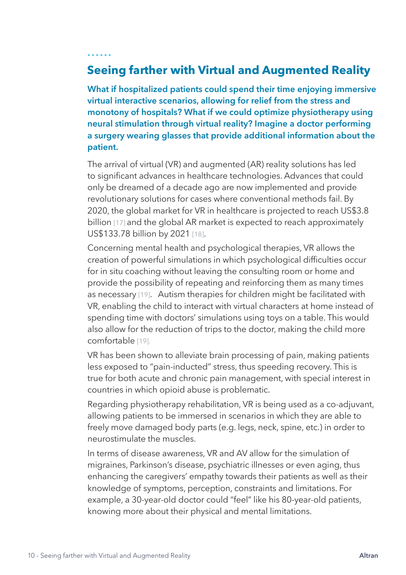## **Seeing farther with Virtual and Augmented Reality**

**What if hospitalized patients could spend their time enjoying immersive virtual interactive scenarios, allowing for relief from the stress and monotony of hospitals? What if we could optimize physiotherapy using neural stimulation through virtual reality? Imagine a doctor performing a surgery wearing glasses that provide additional information about the patient.**

The arrival of virtual (VR) and augmented (AR) reality solutions has led to significant advances in healthcare technologies. Advances that could only be dreamed of a decade ago are now implemented and provide revolutionary solutions for cases where conventional methods fail. By 2020, the global market for VR in healthcare is projected to reach US\$3.8 billion [17] and the global AR market is expected to reach approximately US\$133.78 billion by 2021 [18].

Concerning mental health and psychological therapies, VR allows the creation of powerful simulations in which psychological difficulties occur for in situ coaching without leaving the consulting room or home and provide the possibility of repeating and reinforcing them as many times as necessary [19]. Autism therapies for children might be facilitated with VR, enabling the child to interact with virtual characters at home instead of spending time with doctors' simulations using toys on a table. This would also allow for the reduction of trips to the doctor, making the child more comfortable [19].

VR has been shown to alleviate brain processing of pain, making patients less exposed to "pain-inducted" stress, thus speeding recovery. This is true for both acute and chronic pain management, with special interest in countries in which opioid abuse is problematic.

Regarding physiotherapy rehabilitation, VR is being used as a co-adjuvant, allowing patients to be immersed in scenarios in which they are able to freely move damaged body parts (e.g. legs, neck, spine, etc.) in order to neurostimulate the muscles.

In terms of disease awareness, VR and AV allow for the simulation of migraines, Parkinson's disease, psychiatric illnesses or even aging, thus enhancing the caregivers' empathy towards their patients as well as their knowledge of symptoms, perception, constraints and limitations. For example, a 30-year-old doctor could "feel" like his 80-year-old patients, knowing more about their physical and mental limitations.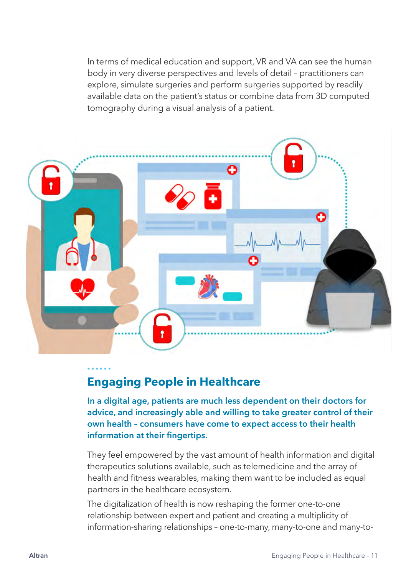In terms of medical education and support, VR and VA can see the human body in very diverse perspectives and levels of detail – practitioners can explore, simulate surgeries and perform surgeries supported by readily available data on the patient's status or combine data from 3D computed tomography during a visual analysis of a patient.



# **Engaging People in Healthcare**

......

**In a digital age, patients are much less dependent on their doctors for advice, and increasingly able and willing to take greater control of their own health – consumers have come to expect access to their health information at their fingertips.**

They feel empowered by the vast amount of health information and digital therapeutics solutions available, such as telemedicine and the array of health and fitness wearables, making them want to be included as equal partners in the healthcare ecosystem.

The digitalization of health is now reshaping the former one-to-one relationship between expert and patient and creating a multiplicity of information-sharing relationships – one-to-many, many-to-one and many-to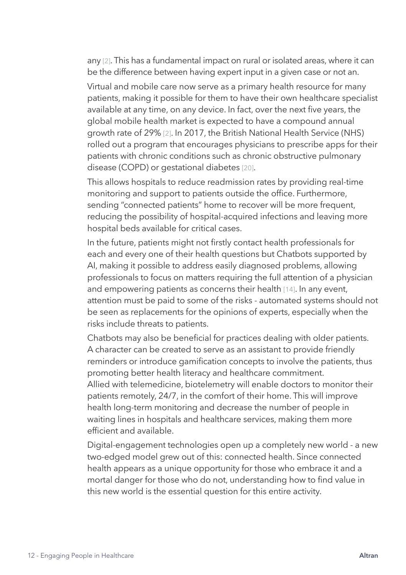any [2]. This has a fundamental impact on rural or isolated areas, where it can be the difference between having expert input in a given case or not an.

Virtual and mobile care now serve as a primary health resource for many patients, making it possible for them to have their own healthcare specialist available at any time, on any device. In fact, over the next five years, the global mobile health market is expected to have a compound annual growth rate of 29% [2]. In 2017, the British National Health Service (NHS) rolled out a program that encourages physicians to prescribe apps for their patients with chronic conditions such as chronic obstructive pulmonary disease (COPD) or gestational diabetes [20].

This allows hospitals to reduce readmission rates by providing real-time monitoring and support to patients outside the office. Furthermore, sending "connected patients" home to recover will be more frequent, reducing the possibility of hospital-acquired infections and leaving more hospital beds available for critical cases.

In the future, patients might not firstly contact health professionals for each and every one of their health questions but Chatbots supported by AI, making it possible to address easily diagnosed problems, allowing professionals to focus on matters requiring the full attention of a physician and empowering patients as concerns their health [14]. In any event, attention must be paid to some of the risks - automated systems should not be seen as replacements for the opinions of experts, especially when the risks include threats to patients.

Chatbots may also be beneficial for practices dealing with older patients. A character can be created to serve as an assistant to provide friendly reminders or introduce gamification concepts to involve the patients, thus promoting better health literacy and healthcare commitment. Allied with telemedicine, biotelemetry will enable doctors to monitor their patients remotely, 24/7, in the comfort of their home. This will improve health long-term monitoring and decrease the number of people in waiting lines in hospitals and healthcare services, making them more efficient and available.

Digital-engagement technologies open up a completely new world - a new two-edged model grew out of this: connected health. Since connected health appears as a unique opportunity for those who embrace it and a mortal danger for those who do not, understanding how to find value in this new world is the essential question for this entire activity.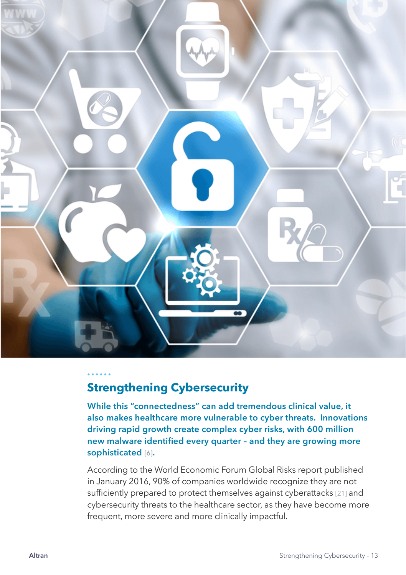

# **Strengthening Cybersecurity**

**While this "connectedness" can add tremendous clinical value, it also makes healthcare more vulnerable to cyber threats. Innovations driving rapid growth create complex cyber risks, with 600 million new malware identified every quarter – and they are growing more sophisticated [6].**

According to the World Economic Forum Global Risks report published in January 2016, 90% of companies worldwide recognize they are not sufficiently prepared to protect themselves against cyberattacks [21] and cybersecurity threats to the healthcare sector, as they have become more frequent, more severe and more clinically impactful.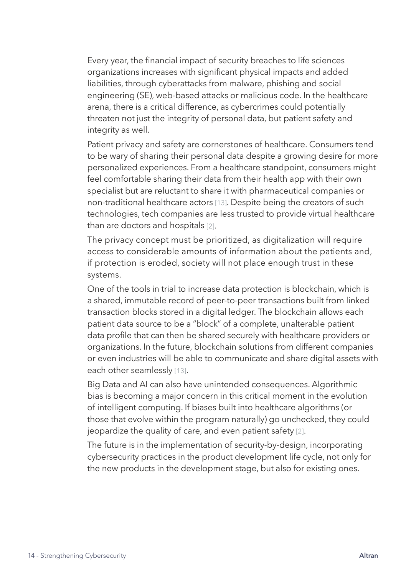Every year, the financial impact of security breaches to life sciences organizations increases with significant physical impacts and added liabilities, through cyberattacks from malware, phishing and social engineering (SE), web-based attacks or malicious code. In the healthcare arena, there is a critical difference, as cybercrimes could potentially threaten not just the integrity of personal data, but patient safety and integrity as well.

Patient privacy and safety are cornerstones of healthcare. Consumers tend to be wary of sharing their personal data despite a growing desire for more personalized experiences. From a healthcare standpoint, consumers might feel comfortable sharing their data from their health app with their own specialist but are reluctant to share it with pharmaceutical companies or non-traditional healthcare actors [13]. Despite being the creators of such technologies, tech companies are less trusted to provide virtual healthcare than are doctors and hospitals [2].

The privacy concept must be prioritized, as digitalization will require access to considerable amounts of information about the patients and, if protection is eroded, society will not place enough trust in these systems.

One of the tools in trial to increase data protection is blockchain, which is a shared, immutable record of peer-to-peer transactions built from linked transaction blocks stored in a digital ledger. The blockchain allows each patient data source to be a "block" of a complete, unalterable patient data profile that can then be shared securely with healthcare providers or organizations. In the future, blockchain solutions from different companies or even industries will be able to communicate and share digital assets with each other seamlessly [13].

Big Data and AI can also have unintended consequences. Algorithmic bias is becoming a major concern in this critical moment in the evolution of intelligent computing. If biases built into healthcare algorithms (or those that evolve within the program naturally) go unchecked, they could jeopardize the quality of care, and even patient safety [2].

The future is in the implementation of security-by-design, incorporating cybersecurity practices in the product development life cycle, not only for the new products in the development stage, but also for existing ones.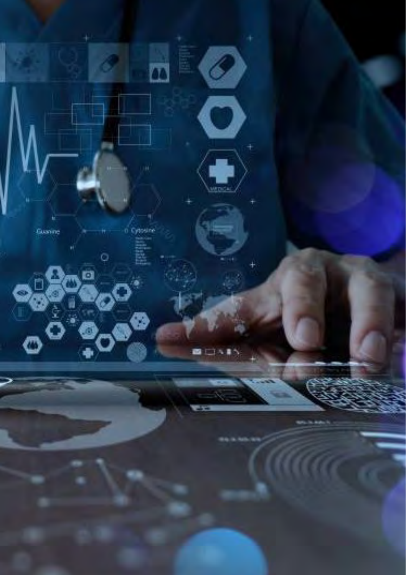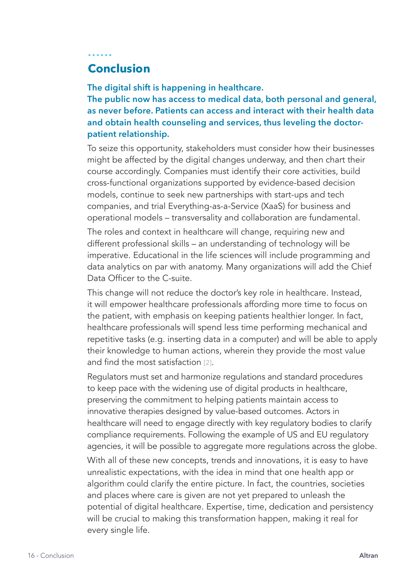#### **Conclusion**

**The digital shift is happening in healthcare. The public now has access to medical data, both personal and general, as never before. Patients can access and interact with their health data and obtain health counseling and services, thus leveling the doctorpatient relationship.**

To seize this opportunity, stakeholders must consider how their businesses might be affected by the digital changes underway, and then chart their course accordingly. Companies must identify their core activities, build cross-functional organizations supported by evidence-based decision models, continue to seek new partnerships with start-ups and tech companies, and trial Everything-as-a-Service (XaaS) for business and operational models – transversality and collaboration are fundamental.

The roles and context in healthcare will change, requiring new and different professional skills – an understanding of technology will be imperative. Educational in the life sciences will include programming and data analytics on par with anatomy. Many organizations will add the Chief Data Officer to the C-suite.

This change will not reduce the doctor's key role in healthcare. Instead, it will empower healthcare professionals affording more time to focus on the patient, with emphasis on keeping patients healthier longer. In fact, healthcare professionals will spend less time performing mechanical and repetitive tasks (e.g. inserting data in a computer) and will be able to apply their knowledge to human actions, wherein they provide the most value and find the most satisfaction [2].

Regulators must set and harmonize regulations and standard procedures to keep pace with the widening use of digital products in healthcare, preserving the commitment to helping patients maintain access to innovative therapies designed by value-based outcomes. Actors in healthcare will need to engage directly with key regulatory bodies to clarify compliance requirements. Following the example of US and EU regulatory agencies, it will be possible to aggregate more regulations across the globe.

With all of these new concepts, trends and innovations, it is easy to have unrealistic expectations, with the idea in mind that one health app or algorithm could clarify the entire picture. In fact, the countries, societies and places where care is given are not yet prepared to unleash the potential of digital healthcare. Expertise, time, dedication and persistency will be crucial to making this transformation happen, making it real for every single life.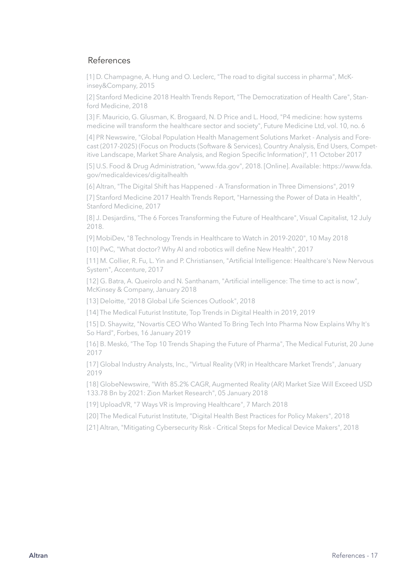#### References

[1] D. Champagne, A. Hung and O. Leclerc, "The road to digital success in pharma", McKinsey&Company, 2015

[2] Stanford Medicine 2018 Health Trends Report, "The Democratization of Health Care", Stanford Medicine, 2018

[3] F. Mauricio, G. Glusman, K. Brogaard, N. D Price and L. Hood, "P4 medicine: how systems medicine will transform the healthcare sector and society", Future Medicine Ltd, vol. 10, no. 6

[4] PR Newswire, "Global Population Health Management Solutions Market - Analysis and Forecast (2017-2025) (Focus on Products (Software & Services), Country Analysis, End Users, Competitive Landscape, Market Share Analysis, and Region Specific Information)", 11 October 2017

[5] U.S. Food & Drug Administration, "www.fda.gov", 2018. [Online]. Available: https://www.fda. gov/medicaldevices/digitalhealth

[6] Altran, "The Digital Shift has Happened - A Transformation in Three Dimensions", 2019

[7] Stanford Medicine 2017 Health Trends Report, "Harnessing the Power of Data in Health", Stanford Medicine, 2017

[8] J. Desjardins, "The 6 Forces Transforming the Future of Healthcare", Visual Capitalist, 12 July 2018.

[9] MobiDev, "8 Technology Trends in Healthcare to Watch in 2019-2020", 10 May 2018

[10] PwC, "What doctor? Why AI and robotics will define New Health", 2017

[11] M. Collier, R. Fu, L. Yin and P. Christiansen, "Artificial Intelligence: Healthcare's New Nervous System", Accenture, 2017

[12] G. Batra, A. Queirolo and N. Santhanam, "Artificial intelligence: The time to act is now", McKinsey & Company, January 2018

[13] Deloitte, "2018 Global Life Sciences Outlook", 2018

[14] The Medical Futurist Institute, Top Trends in Digital Health in 2019, 2019

[15] D. Shaywitz, "Novartis CEO Who Wanted To Bring Tech Into Pharma Now Explains Why It's So Hard", Forbes, 16 January 2019

[16] B. Meskó, "The Top 10 Trends Shaping the Future of Pharma", The Medical Futurist, 20 June 2017

[17] Global Industry Analysts, Inc., "Virtual Reality (VR) in Healthcare Market Trends", January 2019

[18] GlobeNewswire, "With 85.2% CAGR, Augmented Reality (AR) Market Size Will Exceed USD 133.78 Bn by 2021: Zion Market Research", 05 January 2018

[19] UploadVR, "7 Ways VR is Improving Healthcare", 7 March 2018

[20] The Medical Futurist Institute, "Digital Health Best Practices for Policy Makers", 2018

[21] Altran, "Mitigating Cybersecurity Risk - Critical Steps for Medical Device Makers", 2018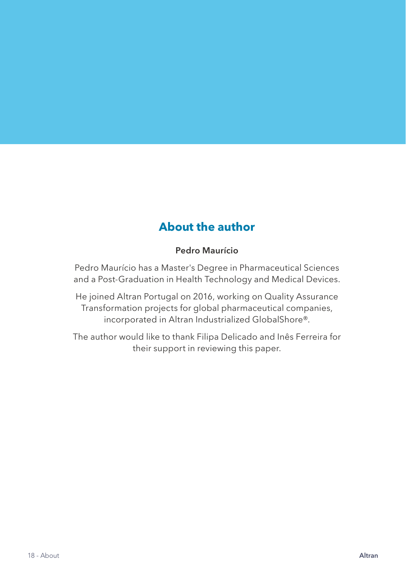# **About the author**

#### **Pedro Maurício**

Pedro Maurício has a Master's Degree in Pharmaceutical Sciences and a Post-Graduation in Health Technology and Medical Devices.

He joined Altran Portugal on 2016, working on Quality Assurance Transformation projects for global pharmaceutical companies, incorporated in Altran Industrialized GlobalShore®.

The author would like to thank Filipa Delicado and Inês Ferreira for their support in reviewing this paper.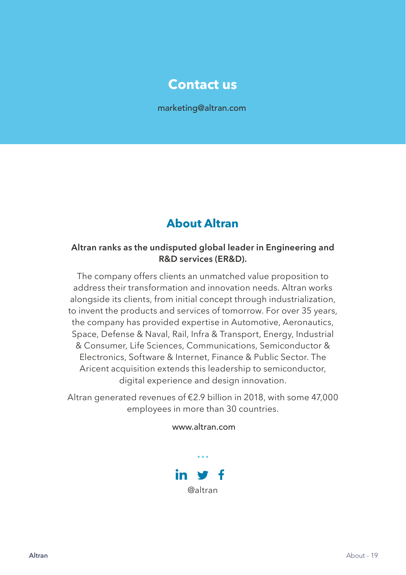# **Contact us**

marketing@altran.com

# **About Altran**

#### **Altran ranks as the undisputed global leader in Engineering and R&D services (ER&D).**

The company offers clients an unmatched value proposition to address their transformation and innovation needs. Altran works alongside its clients, from initial concept through industrialization, to invent the products and services of tomorrow. For over 35 years, the company has provided expertise in Automotive, Aeronautics, Space, Defense & Naval, Rail, Infra & Transport, Energy, Industrial & Consumer, Life Sciences, Communications, Semiconductor & Electronics, Software & Internet, Finance & Public Sector. The Aricent acquisition extends this leadership to semiconductor, digital experience and design innovation.

Altran generated revenues of €2.9 billion in 2018, with some 47,000 employees in more than 30 countries.

www.altran.com

... in  $\forall$  f @altran